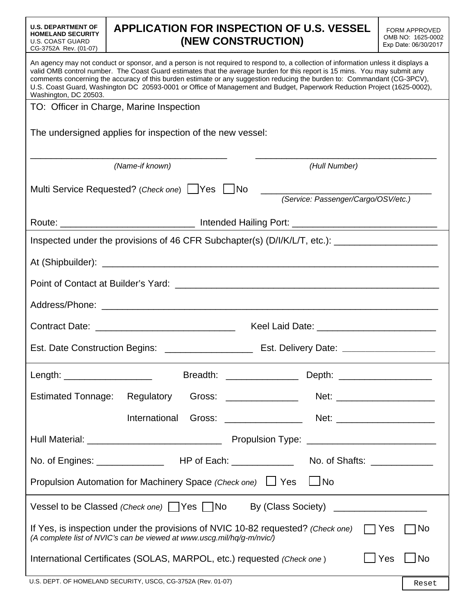| <b>APPLICATION FOR INSPECTION OF U.S. VESSEL</b><br><b>U.S. DEPARTMENT OF</b><br><b>FORM APPROVED</b><br>OMB NO: 1625-0002<br>(NEW CONSTRUCTION)<br>Exp Date: 06/30/2017<br>CG-3752A Rev. (01-07)<br>valid OMB control number. The Coast Guard estimates that the average burden for this report is 15 mins. You may submit any<br>comments concerning the accuracy of this burden estimate or any suggestion reducing the burden to: Commandant (CG-3PCV),<br>U.S. Coast Guard, Washington DC 20593-0001 or Office of Management and Budget, Paperwork Reduction Project (1625-0002),<br>Washington, DC 20503.<br>TO: Officer in Charge, Marine Inspection<br>The undersigned applies for inspection of the new vessel:<br>(Name-if known)<br>(Hull Number)<br>Multi Service Requested? (Check one) UYes UNo<br>(Service: Passenger/Cargo/OSV/etc.)<br>Route: ___________________________________ Intended Hailing Port: _________________________________<br>Inspected under the provisions of 46 CFR Subchapter(s) (D/I/K/L/T, etc.): _________________________<br>Point of Contact at Builder's Yard: Canadian Control of Contact at Builder's Yard:<br>Length: _____________________<br><b>Estimated Tonnage:</b><br>Regulatory<br>International<br>$\Box$ No<br>Propulsion Automation for Machinery Space (Check one) □ Yes<br>By (Class Society) ____________________<br>If Yes, is inspection under the provisions of NVIC 10-82 requested? (Check one) $\Box$ Yes<br>∏No<br>(A complete list of NVIC's can be viewed at www.uscg.mil/hq/g-m/nvic/)<br>  No<br>  Yes<br>International Certificates (SOLAS, MARPOL, etc.) requested (Check one) |                                                                                                                                    |  |  |  |  |  |  |
|--------------------------------------------------------------------------------------------------------------------------------------------------------------------------------------------------------------------------------------------------------------------------------------------------------------------------------------------------------------------------------------------------------------------------------------------------------------------------------------------------------------------------------------------------------------------------------------------------------------------------------------------------------------------------------------------------------------------------------------------------------------------------------------------------------------------------------------------------------------------------------------------------------------------------------------------------------------------------------------------------------------------------------------------------------------------------------------------------------------------------------------------------------------------------------------------------------------------------------------------------------------------------------------------------------------------------------------------------------------------------------------------------------------------------------------------------------------------------------------------------------------------------------------------------------------------------------------------------------------------------------------------------------|------------------------------------------------------------------------------------------------------------------------------------|--|--|--|--|--|--|
|                                                                                                                                                                                                                                                                                                                                                                                                                                                                                                                                                                                                                                                                                                                                                                                                                                                                                                                                                                                                                                                                                                                                                                                                                                                                                                                                                                                                                                                                                                                                                                                                                                                        | <b>HOMELAND SECURITY</b><br><b>U.S. COAST GUARD</b>                                                                                |  |  |  |  |  |  |
|                                                                                                                                                                                                                                                                                                                                                                                                                                                                                                                                                                                                                                                                                                                                                                                                                                                                                                                                                                                                                                                                                                                                                                                                                                                                                                                                                                                                                                                                                                                                                                                                                                                        | An agency may not conduct or sponsor, and a person is not required to respond to, a collection of information unless it displays a |  |  |  |  |  |  |
|                                                                                                                                                                                                                                                                                                                                                                                                                                                                                                                                                                                                                                                                                                                                                                                                                                                                                                                                                                                                                                                                                                                                                                                                                                                                                                                                                                                                                                                                                                                                                                                                                                                        |                                                                                                                                    |  |  |  |  |  |  |
|                                                                                                                                                                                                                                                                                                                                                                                                                                                                                                                                                                                                                                                                                                                                                                                                                                                                                                                                                                                                                                                                                                                                                                                                                                                                                                                                                                                                                                                                                                                                                                                                                                                        |                                                                                                                                    |  |  |  |  |  |  |
|                                                                                                                                                                                                                                                                                                                                                                                                                                                                                                                                                                                                                                                                                                                                                                                                                                                                                                                                                                                                                                                                                                                                                                                                                                                                                                                                                                                                                                                                                                                                                                                                                                                        |                                                                                                                                    |  |  |  |  |  |  |
|                                                                                                                                                                                                                                                                                                                                                                                                                                                                                                                                                                                                                                                                                                                                                                                                                                                                                                                                                                                                                                                                                                                                                                                                                                                                                                                                                                                                                                                                                                                                                                                                                                                        |                                                                                                                                    |  |  |  |  |  |  |
|                                                                                                                                                                                                                                                                                                                                                                                                                                                                                                                                                                                                                                                                                                                                                                                                                                                                                                                                                                                                                                                                                                                                                                                                                                                                                                                                                                                                                                                                                                                                                                                                                                                        |                                                                                                                                    |  |  |  |  |  |  |
|                                                                                                                                                                                                                                                                                                                                                                                                                                                                                                                                                                                                                                                                                                                                                                                                                                                                                                                                                                                                                                                                                                                                                                                                                                                                                                                                                                                                                                                                                                                                                                                                                                                        |                                                                                                                                    |  |  |  |  |  |  |
|                                                                                                                                                                                                                                                                                                                                                                                                                                                                                                                                                                                                                                                                                                                                                                                                                                                                                                                                                                                                                                                                                                                                                                                                                                                                                                                                                                                                                                                                                                                                                                                                                                                        |                                                                                                                                    |  |  |  |  |  |  |
|                                                                                                                                                                                                                                                                                                                                                                                                                                                                                                                                                                                                                                                                                                                                                                                                                                                                                                                                                                                                                                                                                                                                                                                                                                                                                                                                                                                                                                                                                                                                                                                                                                                        |                                                                                                                                    |  |  |  |  |  |  |
|                                                                                                                                                                                                                                                                                                                                                                                                                                                                                                                                                                                                                                                                                                                                                                                                                                                                                                                                                                                                                                                                                                                                                                                                                                                                                                                                                                                                                                                                                                                                                                                                                                                        |                                                                                                                                    |  |  |  |  |  |  |
|                                                                                                                                                                                                                                                                                                                                                                                                                                                                                                                                                                                                                                                                                                                                                                                                                                                                                                                                                                                                                                                                                                                                                                                                                                                                                                                                                                                                                                                                                                                                                                                                                                                        |                                                                                                                                    |  |  |  |  |  |  |
|                                                                                                                                                                                                                                                                                                                                                                                                                                                                                                                                                                                                                                                                                                                                                                                                                                                                                                                                                                                                                                                                                                                                                                                                                                                                                                                                                                                                                                                                                                                                                                                                                                                        |                                                                                                                                    |  |  |  |  |  |  |
|                                                                                                                                                                                                                                                                                                                                                                                                                                                                                                                                                                                                                                                                                                                                                                                                                                                                                                                                                                                                                                                                                                                                                                                                                                                                                                                                                                                                                                                                                                                                                                                                                                                        |                                                                                                                                    |  |  |  |  |  |  |
|                                                                                                                                                                                                                                                                                                                                                                                                                                                                                                                                                                                                                                                                                                                                                                                                                                                                                                                                                                                                                                                                                                                                                                                                                                                                                                                                                                                                                                                                                                                                                                                                                                                        |                                                                                                                                    |  |  |  |  |  |  |
|                                                                                                                                                                                                                                                                                                                                                                                                                                                                                                                                                                                                                                                                                                                                                                                                                                                                                                                                                                                                                                                                                                                                                                                                                                                                                                                                                                                                                                                                                                                                                                                                                                                        |                                                                                                                                    |  |  |  |  |  |  |
|                                                                                                                                                                                                                                                                                                                                                                                                                                                                                                                                                                                                                                                                                                                                                                                                                                                                                                                                                                                                                                                                                                                                                                                                                                                                                                                                                                                                                                                                                                                                                                                                                                                        |                                                                                                                                    |  |  |  |  |  |  |
|                                                                                                                                                                                                                                                                                                                                                                                                                                                                                                                                                                                                                                                                                                                                                                                                                                                                                                                                                                                                                                                                                                                                                                                                                                                                                                                                                                                                                                                                                                                                                                                                                                                        |                                                                                                                                    |  |  |  |  |  |  |
|                                                                                                                                                                                                                                                                                                                                                                                                                                                                                                                                                                                                                                                                                                                                                                                                                                                                                                                                                                                                                                                                                                                                                                                                                                                                                                                                                                                                                                                                                                                                                                                                                                                        |                                                                                                                                    |  |  |  |  |  |  |
|                                                                                                                                                                                                                                                                                                                                                                                                                                                                                                                                                                                                                                                                                                                                                                                                                                                                                                                                                                                                                                                                                                                                                                                                                                                                                                                                                                                                                                                                                                                                                                                                                                                        |                                                                                                                                    |  |  |  |  |  |  |
|                                                                                                                                                                                                                                                                                                                                                                                                                                                                                                                                                                                                                                                                                                                                                                                                                                                                                                                                                                                                                                                                                                                                                                                                                                                                                                                                                                                                                                                                                                                                                                                                                                                        |                                                                                                                                    |  |  |  |  |  |  |
|                                                                                                                                                                                                                                                                                                                                                                                                                                                                                                                                                                                                                                                                                                                                                                                                                                                                                                                                                                                                                                                                                                                                                                                                                                                                                                                                                                                                                                                                                                                                                                                                                                                        | Vessel to be Classed (Check one)   Yes   No                                                                                        |  |  |  |  |  |  |
|                                                                                                                                                                                                                                                                                                                                                                                                                                                                                                                                                                                                                                                                                                                                                                                                                                                                                                                                                                                                                                                                                                                                                                                                                                                                                                                                                                                                                                                                                                                                                                                                                                                        |                                                                                                                                    |  |  |  |  |  |  |
| $\frac{1}{2}$ (1) $\frac{1}{2}$ (1) $\frac{1}{2}$ (1) $\frac{1}{2}$ (1) $\frac{1}{2}$ (1) $\frac{1}{2}$ (1) $\frac{1}{2}$ (1) $\frac{1}{2}$ (1) $\frac{1}{2}$ (1) $\frac{1}{2}$                                                                                                                                                                                                                                                                                                                                                                                                                                                                                                                                                                                                                                                                                                                                                                                                                                                                                                                                                                                                                                                                                                                                                                                                                                                                                                                                                                                                                                                                        |                                                                                                                                    |  |  |  |  |  |  |